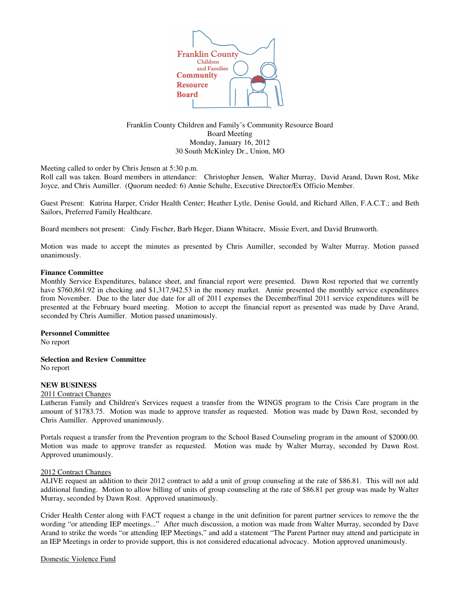

Franklin County Children and Family's Community Resource Board Board Meeting Monday, January 16, 2012 30 South McKinley Dr., Union, MO

Meeting called to order by Chris Jensen at 5:30 p.m.

Roll call was taken. Board members in attendance: Christopher Jensen, Walter Murray, David Arand, Dawn Rost, Mike Joyce, and Chris Aumiller. (Quorum needed: 6) Annie Schulte, Executive Director/Ex Officio Member.

Guest Present: Katrina Harper, Crider Health Center; Heather Lytle, Denise Gould, and Richard Allen, F.A.C.T.; and Beth Sailors, Preferred Family Healthcare.

Board members not present: Cindy Fischer, Barb Heger, Diann Whitacre, Missie Evert, and David Brunworth.

Motion was made to accept the minutes as presented by Chris Aumiller, seconded by Walter Murray. Motion passed unanimously.

### **Finance Committee**

Monthly Service Expenditures, balance sheet, and financial report were presented. Dawn Rost reported that we currently have \$760,861.92 in checking and \$1,317,942.53 in the money market. Annie presented the monthly service expenditures from November. Due to the later due date for all of 2011 expenses the December/final 2011 service expenditures will be presented at the February board meeting. Motion to accept the financial report as presented was made by Dave Arand, seconded by Chris Aumiller. Motion passed unanimously.

#### **Personnel Committee**

No report

**Selection and Review Committee**

No report

# **NEW BUSINESS**

#### 2011 Contract Changes

Lutheran Family and Children's Services request a transfer from the WINGS program to the Crisis Care program in the amount of \$1783.75. Motion was made to approve transfer as requested. Motion was made by Dawn Rost, seconded by Chris Aumiller. Approved unanimously.

Portals request a transfer from the Prevention program to the School Based Counseling program in the amount of \$2000.00. Motion was made to approve transfer as requested. Motion was made by Walter Murray, seconded by Dawn Rost. Approved unanimously.

#### 2012 Contract Changes

ALIVE request an addition to their 2012 contract to add a unit of group counseling at the rate of \$86.81. This will not add additional funding. Motion to allow billing of units of group counseling at the rate of \$86.81 per group was made by Walter Murray, seconded by Dawn Rost. Approved unanimously.

Crider Health Center along with FACT request a change in the unit definition for parent partner services to remove the the wording "or attending IEP meetings..." After much discussion, a motion was made from Walter Murray, seconded by Dave Arand to strike the words "or attending IEP Meetings," and add a statement "The Parent Partner may attend and participate in an IEP Meetings in order to provide support, this is not considered educational advocacy. Motion approved unanimously.